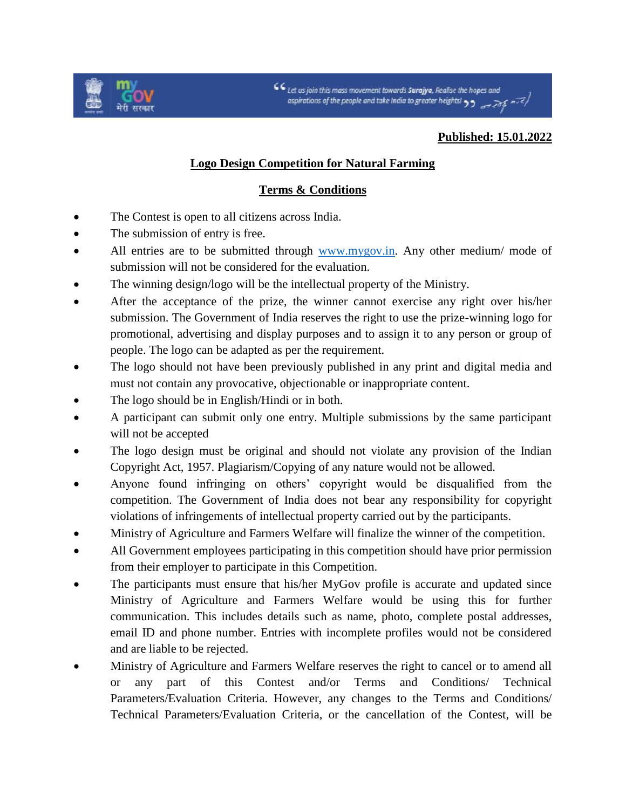

CC Let us join this mass movement towards **Surajya**, Realise the hopes and<br>ospirations of the people and take India to greater heights!  $\frac{1}{2}$ 

## **Published: 15.01.2022**

## **Logo Design Competition for Natural Farming**

## **Terms & Conditions**

- The Contest is open to all citizens across India.
- The submission of entry is free.
- All entries are to be submitted through [www.mygov.in.](http://www.mygov.in/) Any other medium/ mode of submission will not be considered for the evaluation.
- The winning design/logo will be the intellectual property of the Ministry.
- After the acceptance of the prize, the winner cannot exercise any right over his/her submission. The Government of India reserves the right to use the prize-winning logo for promotional, advertising and display purposes and to assign it to any person or group of people. The logo can be adapted as per the requirement.
- The logo should not have been previously published in any print and digital media and must not contain any provocative, objectionable or inappropriate content.
- The logo should be in English/Hindi or in both.
- A participant can submit only one entry. Multiple submissions by the same participant will not be accepted
- The logo design must be original and should not violate any provision of the Indian Copyright Act, 1957. Plagiarism/Copying of any nature would not be allowed.
- Anyone found infringing on others' copyright would be disqualified from the competition. The Government of India does not bear any responsibility for copyright violations of infringements of intellectual property carried out by the participants.
- Ministry of Agriculture and Farmers Welfare will finalize the winner of the competition.
- All Government employees participating in this competition should have prior permission from their employer to participate in this Competition.
- The participants must ensure that his/her MyGov profile is accurate and updated since Ministry of Agriculture and Farmers Welfare would be using this for further communication. This includes details such as name, photo, complete postal addresses, email ID and phone number. Entries with incomplete profiles would not be considered and are liable to be rejected.
- Ministry of Agriculture and Farmers Welfare reserves the right to cancel or to amend all or any part of this Contest and/or Terms and Conditions/ Technical Parameters/Evaluation Criteria. However, any changes to the Terms and Conditions/ Technical Parameters/Evaluation Criteria, or the cancellation of the Contest, will be